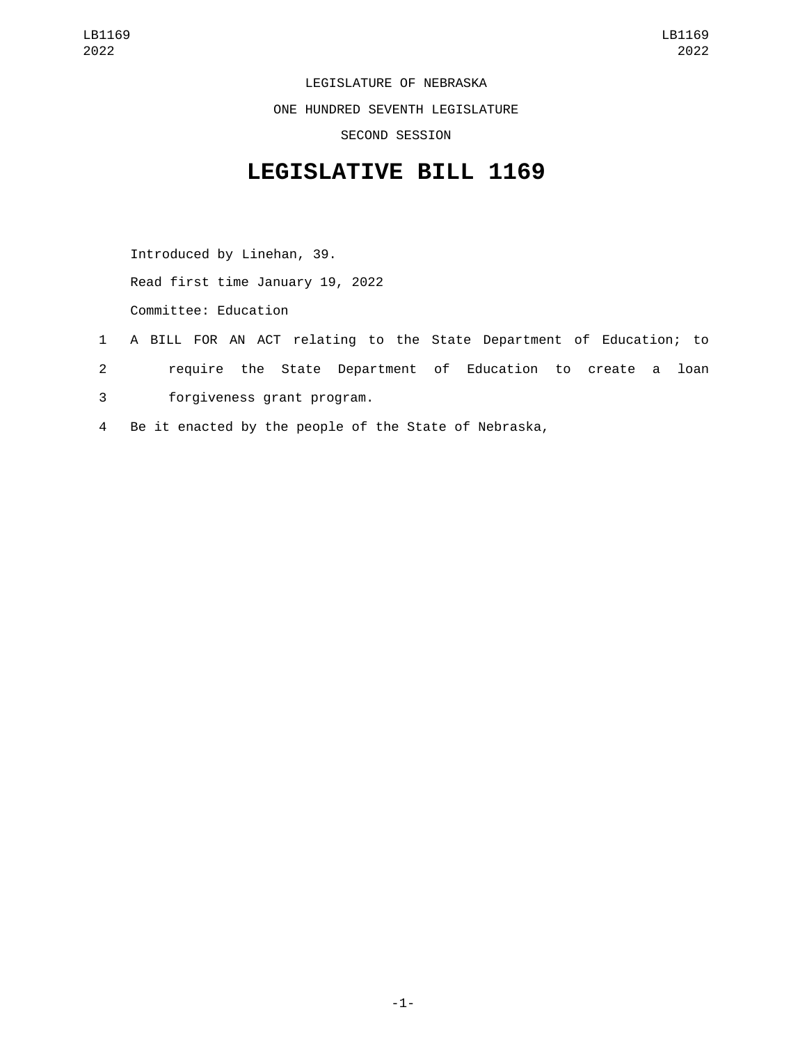LEGISLATURE OF NEBRASKA ONE HUNDRED SEVENTH LEGISLATURE SECOND SESSION

## **LEGISLATIVE BILL 1169**

Introduced by Linehan, 39. Read first time January 19, 2022 Committee: Education

- 1 A BILL FOR AN ACT relating to the State Department of Education; to 2 require the State Department of Education to create a loan forgiveness grant program.3
- 4 Be it enacted by the people of the State of Nebraska,